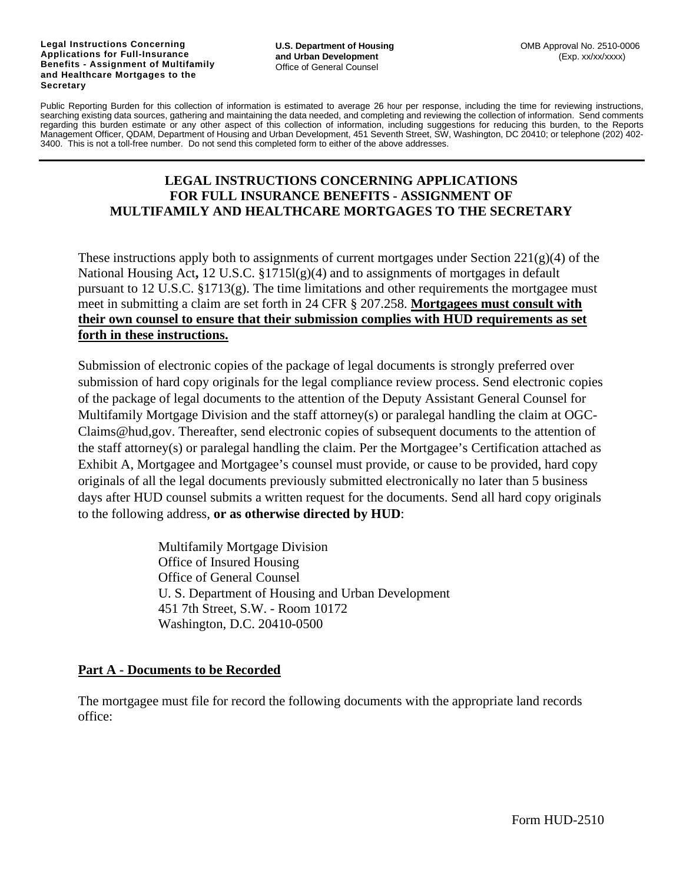#### **Legal Instructions Concerning Applications for Full-Insurance Benefits - Assignment of Multifamily and Healthcare Mortgages to the Secretary**

Public Reporting Burden for this collection of information is estimated to average 26 hour per response, including the time for reviewing instructions, searching existing data sources, gathering and maintaining the data needed, and completing and reviewing the collection of information. Send comments regarding this burden estimate or any other aspect of this collection of information, including suggestions for reducing this burden, to the Reports Management Officer, QDAM, Department of Housing and Urban Development, 451 Seventh Street, SW, Washington, DC 20410; or telephone (202) 402- 3400. This is not a toll-free number. Do not send this completed form to either of the above addresses.

### **LEGAL INSTRUCTIONS CONCERNING APPLICATIONS FOR FULL INSURANCE BENEFITS - ASSIGNMENT OF MULTIFAMILY AND HEALTHCARE MORTGAGES TO THE SECRETARY**

These instructions apply both to assignments of current mortgages under Section  $221(g)(4)$  of the National Housing Act**,** 12 U.S.C. §1715l(g)(4) and to assignments of mortgages in default pursuant to 12 U.S.C. §1713(g). The time limitations and other requirements the mortgagee must meet in submitting a claim are set forth in 24 CFR § 207.258. **Mortgagees must consult with their own counsel to ensure that their submission complies with HUD requirements as set forth in these instructions.**

Submission of electronic copies of the package of legal documents is strongly preferred over submission of hard copy originals for the legal compliance review process. Send electronic copies of the package of legal documents to the attention of the Deputy Assistant General Counsel for Multifamily Mortgage Division and the staff attorney(s) or paralegal handling the claim at OGC-Claims@hud,gov. Thereafter, send electronic copies of subsequent documents to the attention of the staff attorney(s) or paralegal handling the claim. Per the Mortgagee's Certification attached as Exhibit A, Mortgagee and Mortgagee's counsel must provide, or cause to be provided, hard copy originals of all the legal documents previously submitted electronically no later than 5 business days after HUD counsel submits a written request for the documents. Send all hard copy originals to the following address, **or as otherwise directed by HUD**:

> Multifamily Mortgage Division Office of Insured Housing Office of General Counsel U. S. Department of Housing and Urban Development 451 7th Street, S.W. - Room 10172 Washington, D.C. 20410-0500

#### **Part A - Documents to be Recorded**

The mortgagee must file for record the following documents with the appropriate land records office: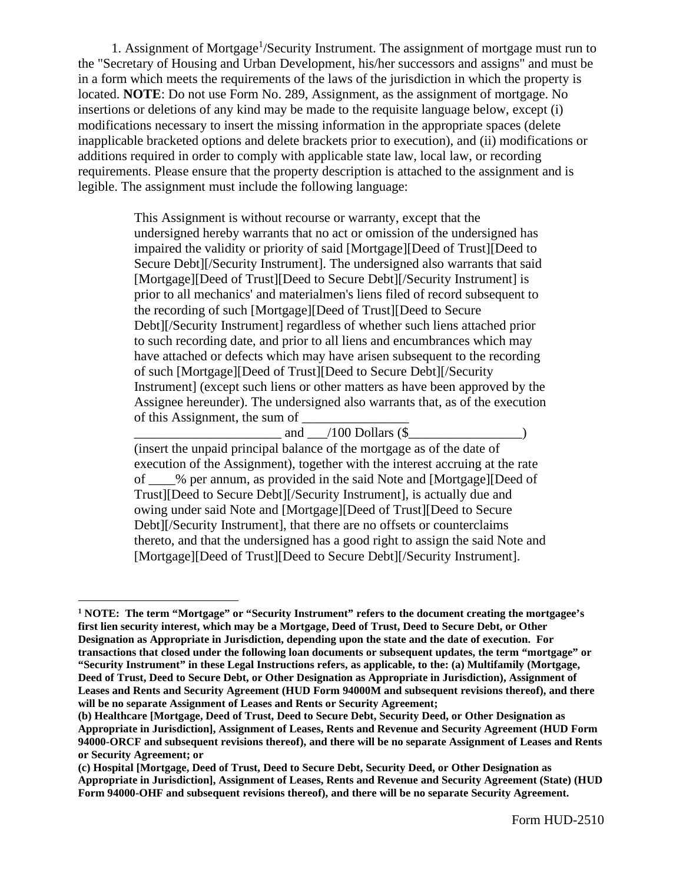1. Assignment of Mortgage<sup>1</sup>/Security Instrument. The assignment of mortgage must run to the "Secretary of Housing and Urban Development, his/her successors and assigns" and must be in a form which meets the requirements of the laws of the jurisdiction in which the property is located. **NOTE**: Do not use Form No. 289, Assignment, as the assignment of mortgage. No insertions or deletions of any kind may be made to the requisite language below, except (i) modifications necessary to insert the missing information in the appropriate spaces (delete inapplicable bracketed options and delete brackets prior to execution), and (ii) modifications or additions required in order to comply with applicable state law, local law, or recording requirements. Please ensure that the property description is attached to the assignment and is legible. The assignment must include the following language:

> This Assignment is without recourse or warranty, except that the undersigned hereby warrants that no act or omission of the undersigned has impaired the validity or priority of said [Mortgage][Deed of Trust][Deed to Secure Debt][/Security Instrument]. The undersigned also warrants that said [Mortgage][Deed of Trust][Deed to Secure Debt][/Security Instrument] is prior to all mechanics' and materialmen's liens filed of record subsequent to the recording of such [Mortgage][Deed of Trust][Deed to Secure Debt][/Security Instrument] regardless of whether such liens attached prior to such recording date, and prior to all liens and encumbrances which may have attached or defects which may have arisen subsequent to the recording of such [Mortgage][Deed of Trust][Deed to Secure Debt][/Security Instrument] (except such liens or other matters as have been approved by the Assignee hereunder). The undersigned also warrants that, as of the execution of this Assignment, the sum of

> and  $/100$  Dollars (\$) (insert the unpaid principal balance of the mortgage as of the date of execution of the Assignment), together with the interest accruing at the rate of \_\_\_\_% per annum, as provided in the said Note and [Mortgage][Deed of Trust][Deed to Secure Debt][/Security Instrument], is actually due and owing under said Note and [Mortgage][Deed of Trust][Deed to Secure Debt][/Security Instrument], that there are no offsets or counterclaims thereto, and that the undersigned has a good right to assign the said Note and [Mortgage][Deed of Trust][Deed to Secure Debt][/Security Instrument].

<sup>&</sup>lt;sup>1</sup> NOTE: The term "Mortgage" or "Security Instrument" refers to the document creating the mortgagee's **first lien security interest, which may be a Mortgage, Deed of Trust, Deed to Secure Debt, or Other Designation as Appropriate in Jurisdiction, depending upon the state and the date of execution. For transactions that closed under the following loan documents or subsequent updates, the term "mortgage" or "Security Instrument" in these Legal Instructions refers, as applicable, to the: (a) Multifamily (Mortgage, Deed of Trust, Deed to Secure Debt, or Other Designation as Appropriate in Jurisdiction), Assignment of Leases and Rents and Security Agreement (HUD Form 94000M and subsequent revisions thereof), and there will be no separate Assignment of Leases and Rents or Security Agreement;** 

**<sup>(</sup>b) Healthcare [Mortgage, Deed of Trust, Deed to Secure Debt, Security Deed, or Other Designation as Appropriate in Jurisdiction], Assignment of Leases, Rents and Revenue and Security Agreement (HUD Form 94000-ORCF and subsequent revisions thereof), and there will be no separate Assignment of Leases and Rents or Security Agreement; or** 

**<sup>(</sup>c) Hospital [Mortgage, Deed of Trust, Deed to Secure Debt, Security Deed, or Other Designation as Appropriate in Jurisdiction], Assignment of Leases, Rents and Revenue and Security Agreement (State) (HUD**  Form 94000-OHF and subsequent revisions thereof), and there will be no separate Security Agreement.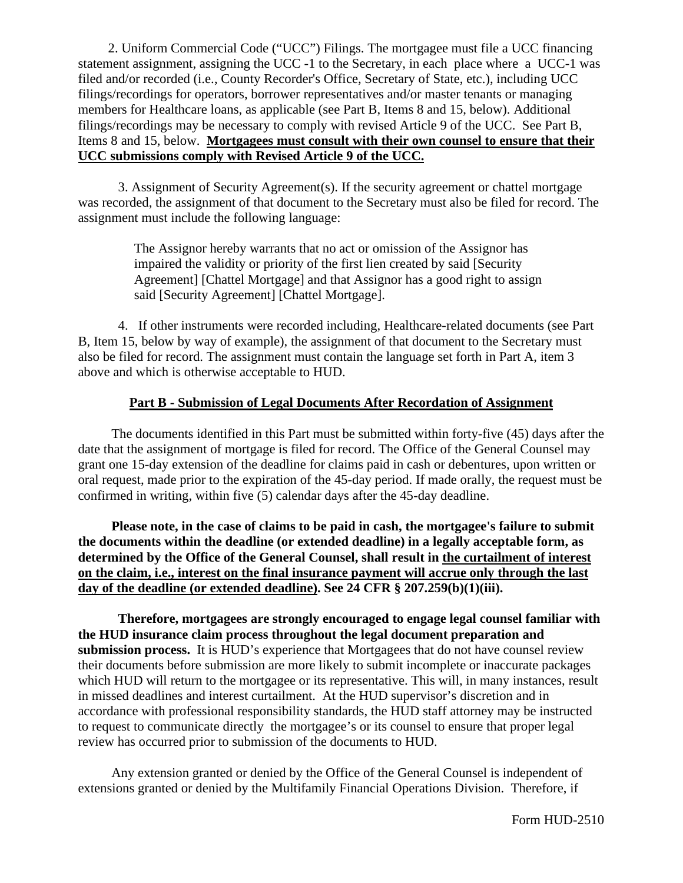2. Uniform Commercial Code ("UCC") Filings. The mortgagee must file a UCC financing statement assignment, assigning the UCC -1 to the Secretary, in each place where a UCC-1 was filed and/or recorded (i.e., County Recorder's Office, Secretary of State, etc.), including UCC filings/recordings for operators, borrower representatives and/or master tenants or managing members for Healthcare loans, as applicable (see Part B, Items 8 and 15, below). Additional filings/recordings may be necessary to comply with revised Article 9 of the UCC. See Part B, Items 8 and 15, below. **Mortgagees must consult with their own counsel to ensure that their UCC submissions comply with Revised Article 9 of the UCC.**

3. Assignment of Security Agreement(s). If the security agreement or chattel mortgage was recorded, the assignment of that document to the Secretary must also be filed for record. The assignment must include the following language:

> The Assignor hereby warrants that no act or omission of the Assignor has impaired the validity or priority of the first lien created by said [Security Agreement] [Chattel Mortgage] and that Assignor has a good right to assign said [Security Agreement] [Chattel Mortgage].

4. If other instruments were recorded including, Healthcare-related documents (see Part B, Item 15, below by way of example), the assignment of that document to the Secretary must also be filed for record. The assignment must contain the language set forth in Part A, item 3 above and which is otherwise acceptable to HUD.

### **Part B - Submission of Legal Documents After Recordation of Assignment**

 The documents identified in this Part must be submitted within forty-five (45) days after the date that the assignment of mortgage is filed for record. The Office of the General Counsel may grant one 15-day extension of the deadline for claims paid in cash or debentures, upon written or oral request, made prior to the expiration of the 45-day period. If made orally, the request must be confirmed in writing, within five (5) calendar days after the 45-day deadline.

 **Please note, in the case of claims to be paid in cash, the mortgagee's failure to submit the documents within the deadline (or extended deadline) in a legally acceptable form, as determined by the Office of the General Counsel, shall result in the curtailment of interest on the claim, i.e., interest on the final insurance payment will accrue only through the last day of the deadline (or extended deadline). See 24 CFR § 207.259(b)(1)(iii).** 

**Therefore, mortgagees are strongly encouraged to engage legal counsel familiar with the HUD insurance claim process throughout the legal document preparation and submission process.** It is HUD's experience that Mortgagees that do not have counsel review their documents before submission are more likely to submit incomplete or inaccurate packages which HUD will return to the mortgagee or its representative. This will, in many instances, result in missed deadlines and interest curtailment. At the HUD supervisor's discretion and in accordance with professional responsibility standards, the HUD staff attorney may be instructed to request to communicate directly the mortgagee's or its counsel to ensure that proper legal review has occurred prior to submission of the documents to HUD.

 Any extension granted or denied by the Office of the General Counsel is independent of extensions granted or denied by the Multifamily Financial Operations Division. Therefore, if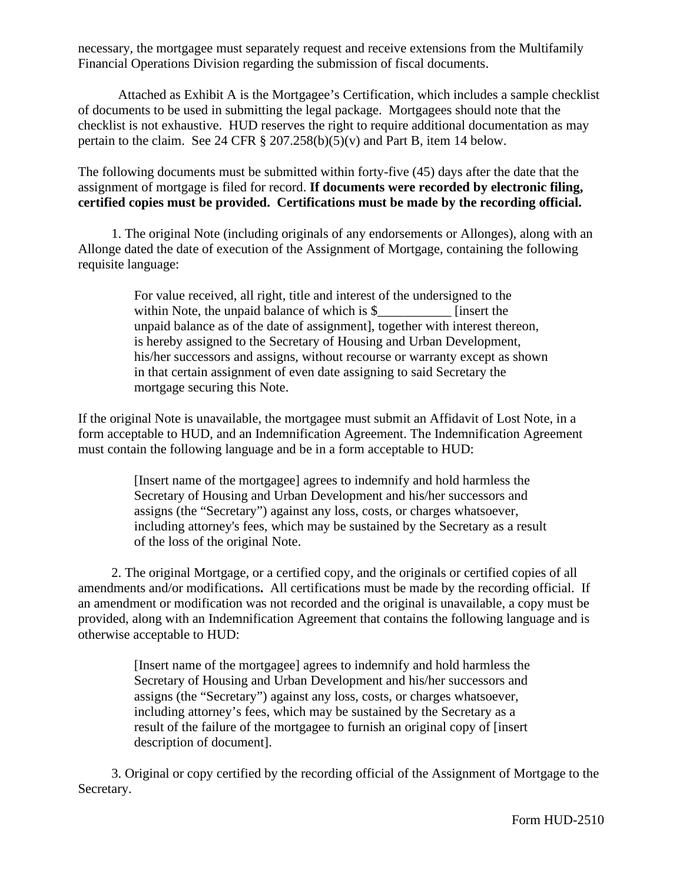necessary, the mortgagee must separately request and receive extensions from the Multifamily Financial Operations Division regarding the submission of fiscal documents.

Attached as Exhibit A is the Mortgagee's Certification, which includes a sample checklist of documents to be used in submitting the legal package. Mortgagees should note that the checklist is not exhaustive. HUD reserves the right to require additional documentation as may pertain to the claim. See 24 CFR  $\S 207.258(b)(5)(v)$  and Part B, item 14 below.

The following documents must be submitted within forty-five (45) days after the date that the assignment of mortgage is filed for record. **If documents were recorded by electronic filing, certified copies must be provided. Certifications must be made by the recording official.** 

 1. The original Note (including originals of any endorsements or Allonges), along with an Allonge dated the date of execution of the Assignment of Mortgage, containing the following requisite language:

> For value received, all right, title and interest of the undersigned to the within Note, the unpaid balance of which is \$ [insert the unpaid balance as of the date of assignment], together with interest thereon, is hereby assigned to the Secretary of Housing and Urban Development, his/her successors and assigns, without recourse or warranty except as shown in that certain assignment of even date assigning to said Secretary the mortgage securing this Note.

If the original Note is unavailable, the mortgagee must submit an Affidavit of Lost Note, in a form acceptable to HUD, and an Indemnification Agreement. The Indemnification Agreement must contain the following language and be in a form acceptable to HUD:

> [Insert name of the mortgagee] agrees to indemnify and hold harmless the Secretary of Housing and Urban Development and his/her successors and assigns (the "Secretary") against any loss, costs, or charges whatsoever, including attorney's fees, which may be sustained by the Secretary as a result of the loss of the original Note.

 2. The original Mortgage, or a certified copy, and the originals or certified copies of all amendments and/or modifications**.** All certifications must be made by the recording official. If an amendment or modification was not recorded and the original is unavailable, a copy must be provided, along with an Indemnification Agreement that contains the following language and is otherwise acceptable to HUD:

> [Insert name of the mortgagee] agrees to indemnify and hold harmless the Secretary of Housing and Urban Development and his/her successors and assigns (the "Secretary") against any loss, costs, or charges whatsoever, including attorney's fees, which may be sustained by the Secretary as a result of the failure of the mortgagee to furnish an original copy of [insert description of document].

 3. Original or copy certified by the recording official of the Assignment of Mortgage to the Secretary.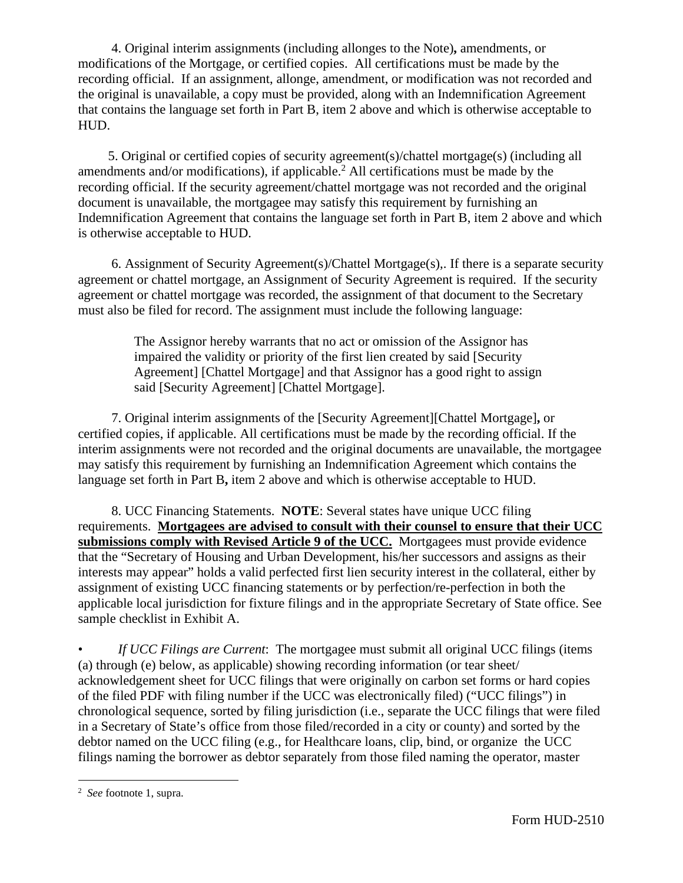4. Original interim assignments (including allonges to the Note)**,** amendments, or modifications of the Mortgage, or certified copies. All certifications must be made by the recording official. If an assignment, allonge, amendment, or modification was not recorded and the original is unavailable, a copy must be provided, along with an Indemnification Agreement that contains the language set forth in Part B, item 2 above and which is otherwise acceptable to HUD.

 5. Original or certified copies of security agreement(s)/chattel mortgage(s) (including all amendments and/or modifications), if applicable.<sup>2</sup> All certifications must be made by the recording official. If the security agreement/chattel mortgage was not recorded and the original document is unavailable, the mortgagee may satisfy this requirement by furnishing an Indemnification Agreement that contains the language set forth in Part B, item 2 above and which is otherwise acceptable to HUD.

 6. Assignment of Security Agreement(s)/Chattel Mortgage(s),. If there is a separate security agreement or chattel mortgage, an Assignment of Security Agreement is required. If the security agreement or chattel mortgage was recorded, the assignment of that document to the Secretary must also be filed for record. The assignment must include the following language:

> The Assignor hereby warrants that no act or omission of the Assignor has impaired the validity or priority of the first lien created by said [Security Agreement] [Chattel Mortgage] and that Assignor has a good right to assign said [Security Agreement] [Chattel Mortgage].

 7. Original interim assignments of the [Security Agreement][Chattel Mortgage]**,** or certified copies, if applicable. All certifications must be made by the recording official. If the interim assignments were not recorded and the original documents are unavailable, the mortgagee may satisfy this requirement by furnishing an Indemnification Agreement which contains the language set forth in Part B**,** item 2 above and which is otherwise acceptable to HUD.

 8. UCC Financing Statements. **NOTE**: Several states have unique UCC filing requirements. **Mortgagees are advised to consult with their counsel to ensure that their UCC submissions comply with Revised Article 9 of the UCC.** Mortgagees must provide evidence that the "Secretary of Housing and Urban Development, his/her successors and assigns as their interests may appear" holds a valid perfected first lien security interest in the collateral, either by assignment of existing UCC financing statements or by perfection/re-perfection in both the applicable local jurisdiction for fixture filings and in the appropriate Secretary of State office. See sample checklist in Exhibit A.

• *If UCC Filings are Current*: The mortgagee must submit all original UCC filings (items (a) through (e) below, as applicable) showing recording information (or tear sheet/ acknowledgement sheet for UCC filings that were originally on carbon set forms or hard copies of the filed PDF with filing number if the UCC was electronically filed) ("UCC filings") in chronological sequence, sorted by filing jurisdiction (i.e., separate the UCC filings that were filed in a Secretary of State's office from those filed/recorded in a city or county) and sorted by the debtor named on the UCC filing (e.g., for Healthcare loans, clip, bind, or organize the UCC filings naming the borrower as debtor separately from those filed naming the operator, master

<sup>2</sup> *See* footnote 1, supra.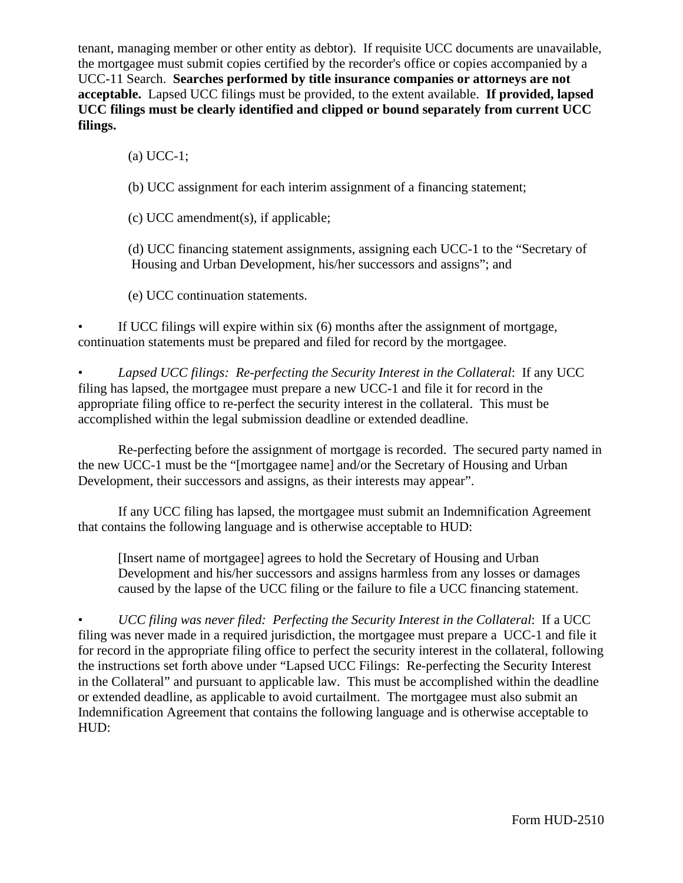tenant, managing member or other entity as debtor). If requisite UCC documents are unavailable, the mortgagee must submit copies certified by the recorder's office or copies accompanied by a UCC-11 Search. **Searches performed by title insurance companies or attorneys are not acceptable.** Lapsed UCC filings must be provided, to the extent available. **If provided, lapsed UCC filings must be clearly identified and clipped or bound separately from current UCC filings.**

(a) UCC-1;

(b) UCC assignment for each interim assignment of a financing statement;

(c) UCC amendment(s), if applicable;

 (d) UCC financing statement assignments, assigning each UCC-1 to the "Secretary of Housing and Urban Development, his/her successors and assigns"; and

(e) UCC continuation statements.

If UCC filings will expire within six (6) months after the assignment of mortgage, continuation statements must be prepared and filed for record by the mortgagee.

• *Lapsed UCC filings: Re-perfecting the Security Interest in the Collateral*: If any UCC filing has lapsed, the mortgagee must prepare a new UCC-1 and file it for record in the appropriate filing office to re-perfect the security interest in the collateral. This must be accomplished within the legal submission deadline or extended deadline.

Re-perfecting before the assignment of mortgage is recorded. The secured party named in the new UCC-1 must be the "[mortgagee name] and/or the Secretary of Housing and Urban Development, their successors and assigns, as their interests may appear".

If any UCC filing has lapsed, the mortgagee must submit an Indemnification Agreement that contains the following language and is otherwise acceptable to HUD:

[Insert name of mortgagee] agrees to hold the Secretary of Housing and Urban Development and his/her successors and assigns harmless from any losses or damages caused by the lapse of the UCC filing or the failure to file a UCC financing statement.

• *UCC filing was never filed: Perfecting the Security Interest in the Collateral*: If a UCC filing was never made in a required jurisdiction, the mortgagee must prepare a UCC-1 and file it for record in the appropriate filing office to perfect the security interest in the collateral, following the instructions set forth above under "Lapsed UCC Filings: Re-perfecting the Security Interest in the Collateral" and pursuant to applicable law. This must be accomplished within the deadline or extended deadline, as applicable to avoid curtailment. The mortgagee must also submit an Indemnification Agreement that contains the following language and is otherwise acceptable to HUD: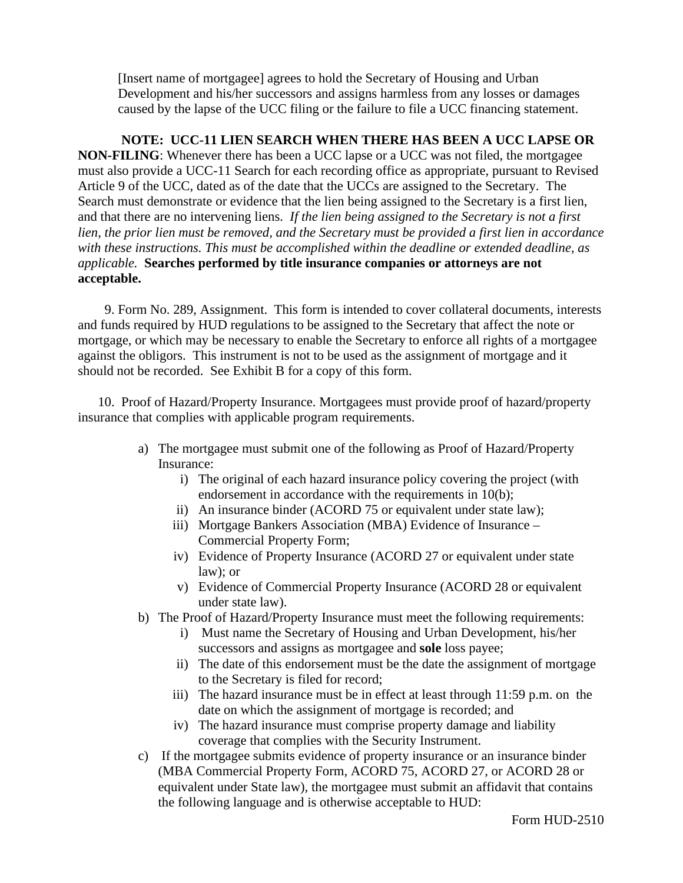[Insert name of mortgagee] agrees to hold the Secretary of Housing and Urban Development and his/her successors and assigns harmless from any losses or damages caused by the lapse of the UCC filing or the failure to file a UCC financing statement.

 **NOTE: UCC-11 LIEN SEARCH WHEN THERE HAS BEEN A UCC LAPSE OR NON-FILING**: Whenever there has been a UCC lapse or a UCC was not filed, the mortgagee must also provide a UCC-11 Search for each recording office as appropriate, pursuant to Revised Article 9 of the UCC, dated as of the date that the UCCs are assigned to the Secretary. The Search must demonstrate or evidence that the lien being assigned to the Secretary is a first lien, and that there are no intervening liens. *If the lien being assigned to the Secretary is not a first lien, the prior lien must be removed, and the Secretary must be provided a first lien in accordance with these instructions. This must be accomplished within the deadline or extended deadline, as applicable.* **Searches performed by title insurance companies or attorneys are not acceptable.** 

 9. Form No. 289, Assignment. This form is intended to cover collateral documents, interests and funds required by HUD regulations to be assigned to the Secretary that affect the note or mortgage, or which may be necessary to enable the Secretary to enforce all rights of a mortgagee against the obligors. This instrument is not to be used as the assignment of mortgage and it should not be recorded. See Exhibit B for a copy of this form.

 10. Proof of Hazard/Property Insurance. Mortgagees must provide proof of hazard/property insurance that complies with applicable program requirements.

- a) The mortgagee must submit one of the following as Proof of Hazard/Property Insurance:
	- i) The original of each hazard insurance policy covering the project (with endorsement in accordance with the requirements in 10(b);
	- ii) An insurance binder (ACORD 75 or equivalent under state law);
	- iii) Mortgage Bankers Association (MBA) Evidence of Insurance Commercial Property Form;
	- iv) Evidence of Property Insurance (ACORD 27 or equivalent under state law); or
	- v) Evidence of Commercial Property Insurance (ACORD 28 or equivalent under state law).
- b) The Proof of Hazard/Property Insurance must meet the following requirements:
	- i) Must name the Secretary of Housing and Urban Development, his/her successors and assigns as mortgagee and **sole** loss payee;
	- ii) The date of this endorsement must be the date the assignment of mortgage to the Secretary is filed for record;
	- iii) The hazard insurance must be in effect at least through 11:59 p.m. on the date on which the assignment of mortgage is recorded; and
	- iv) The hazard insurance must comprise property damage and liability coverage that complies with the Security Instrument.
- c) If the mortgagee submits evidence of property insurance or an insurance binder (MBA Commercial Property Form, ACORD 75, ACORD 27, or ACORD 28 or equivalent under State law), the mortgagee must submit an affidavit that contains the following language and is otherwise acceptable to HUD: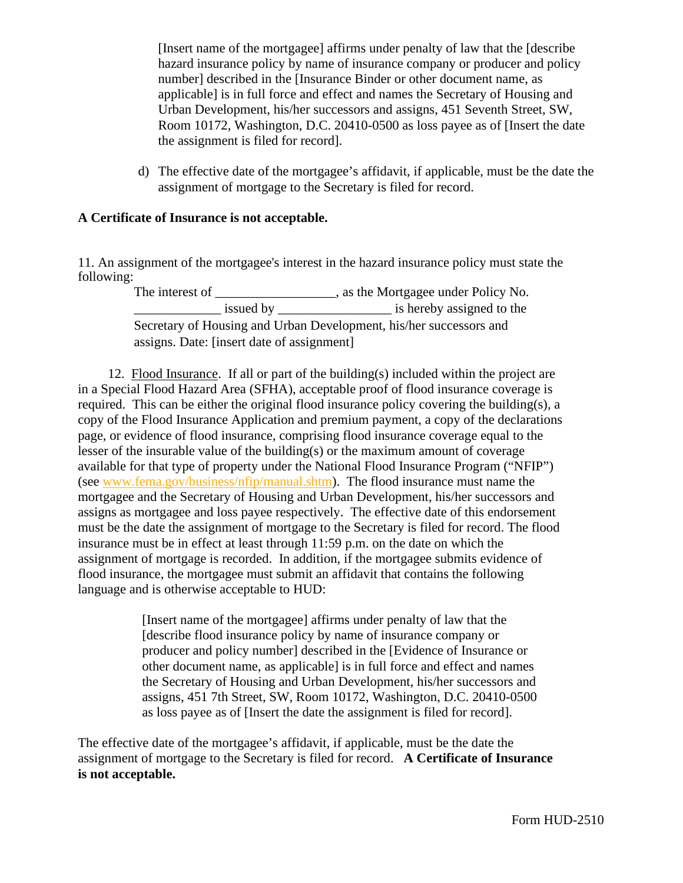[Insert name of the mortgagee] affirms under penalty of law that the [describe hazard insurance policy by name of insurance company or producer and policy number] described in the [Insurance Binder or other document name, as applicable] is in full force and effect and names the Secretary of Housing and Urban Development, his/her successors and assigns, 451 Seventh Street, SW, Room 10172, Washington, D.C. 20410-0500 as loss payee as of [Insert the date the assignment is filed for record].

d) The effective date of the mortgagee's affidavit, if applicable, must be the date the assignment of mortgage to the Secretary is filed for record.

### **A Certificate of Insurance is not acceptable.**

11. An assignment of the mortgagee's interest in the hazard insurance policy must state the following:

The interest of \_\_\_\_\_\_\_\_\_\_\_\_\_\_\_\_\_\_, as the Mortgagee under Policy No. \_\_\_\_\_\_\_\_\_\_\_\_\_ issued by \_\_\_\_\_\_\_\_\_\_\_\_\_\_\_\_\_ is hereby assigned to the Secretary of Housing and Urban Development, his/her successors and assigns. Date: [insert date of assignment]

 12. Flood Insurance. If all or part of the building(s) included within the project are in a Special Flood Hazard Area (SFHA), acceptable proof of flood insurance coverage is required. This can be either the original flood insurance policy covering the building(s), a copy of the Flood Insurance Application and premium payment, a copy of the declarations page, or evidence of flood insurance, comprising flood insurance coverage equal to the lesser of the insurable value of the building(s) or the maximum amount of coverage available for that type of property under the National Flood Insurance Program ("NFIP") (see www.fema.gov/business/nfip/manual.shtm). The flood insurance must name the mortgagee and the Secretary of Housing and Urban Development, his/her successors and assigns as mortgagee and loss payee respectively. The effective date of this endorsement must be the date the assignment of mortgage to the Secretary is filed for record. The flood insurance must be in effect at least through 11:59 p.m. on the date on which the assignment of mortgage is recorded. In addition, if the mortgagee submits evidence of flood insurance, the mortgagee must submit an affidavit that contains the following language and is otherwise acceptable to HUD:

> [Insert name of the mortgagee] affirms under penalty of law that the [describe flood insurance policy by name of insurance company or producer and policy number] described in the [Evidence of Insurance or other document name, as applicable] is in full force and effect and names the Secretary of Housing and Urban Development, his/her successors and assigns, 451 7th Street, SW, Room 10172, Washington, D.C. 20410-0500 as loss payee as of [Insert the date the assignment is filed for record].

The effective date of the mortgagee's affidavit, if applicable, must be the date the assignment of mortgage to the Secretary is filed for record. **A Certificate of Insurance is not acceptable.**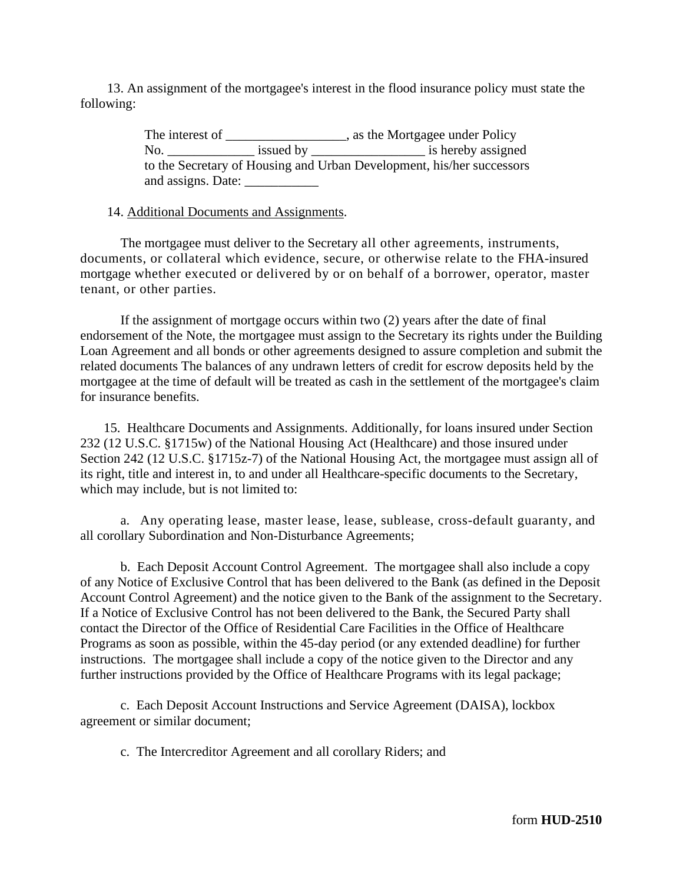13. An assignment of the mortgagee's interest in the flood insurance policy must state the following:

> The interest of \_\_\_\_\_\_\_\_\_\_\_\_\_\_\_\_\_, as the Mortgagee under Policy No. \_\_\_\_\_\_\_\_\_\_\_\_\_ issued by \_\_\_\_\_\_\_\_\_\_\_\_\_\_\_\_\_ is hereby assigned to the Secretary of Housing and Urban Development, his/her successors and assigns. Date:

#### 14. Additional Documents and Assignments.

The mortgagee must deliver to the Secretary all other agreements, instruments, documents, or collateral which evidence, secure, or otherwise relate to the FHA-insured mortgage whether executed or delivered by or on behalf of a borrower, operator, master tenant, or other parties.

If the assignment of mortgage occurs within two (2) years after the date of final endorsement of the Note, the mortgagee must assign to the Secretary its rights under the Building Loan Agreement and all bonds or other agreements designed to assure completion and submit the related documents The balances of any undrawn letters of credit for escrow deposits held by the mortgagee at the time of default will be treated as cash in the settlement of the mortgagee's claim for insurance benefits.

 15. Healthcare Documents and Assignments. Additionally, for loans insured under Section 232 (12 U.S.C. §1715w) of the National Housing Act (Healthcare) and those insured under Section 242 (12 U.S.C. §1715z-7) of the National Housing Act, the mortgagee must assign all of its right, title and interest in, to and under all Healthcare-specific documents to the Secretary, which may include, but is not limited to:

a. Any operating lease, master lease, lease, sublease, cross-default guaranty, and all corollary Subordination and Non-Disturbance Agreements;

b. Each Deposit Account Control Agreement. The mortgagee shall also include a copy of any Notice of Exclusive Control that has been delivered to the Bank (as defined in the Deposit Account Control Agreement) and the notice given to the Bank of the assignment to the Secretary. If a Notice of Exclusive Control has not been delivered to the Bank, the Secured Party shall contact the Director of the Office of Residential Care Facilities in the Office of Healthcare Programs as soon as possible, within the 45-day period (or any extended deadline) for further instructions. The mortgagee shall include a copy of the notice given to the Director and any further instructions provided by the Office of Healthcare Programs with its legal package;

c. Each Deposit Account Instructions and Service Agreement (DAISA), lockbox agreement or similar document;

c. The Intercreditor Agreement and all corollary Riders; and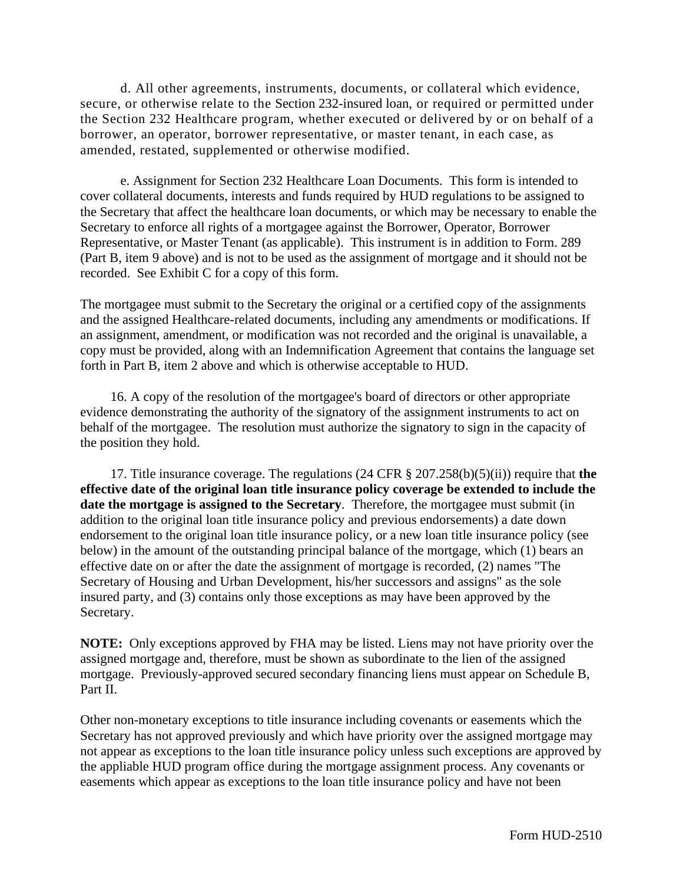d. All other agreements, instruments, documents, or collateral which evidence, secure, or otherwise relate to the Section 232-insured loan, or required or permitted under the Section 232 Healthcare program, whether executed or delivered by or on behalf of a borrower, an operator, borrower representative, or master tenant, in each case, as amended, restated, supplemented or otherwise modified.

e. Assignment for Section 232 Healthcare Loan Documents. This form is intended to cover collateral documents, interests and funds required by HUD regulations to be assigned to the Secretary that affect the healthcare loan documents, or which may be necessary to enable the Secretary to enforce all rights of a mortgagee against the Borrower, Operator, Borrower Representative, or Master Tenant (as applicable). This instrument is in addition to Form. 289 (Part B, item 9 above) and is not to be used as the assignment of mortgage and it should not be recorded. See Exhibit C for a copy of this form.

The mortgagee must submit to the Secretary the original or a certified copy of the assignments and the assigned Healthcare-related documents, including any amendments or modifications. If an assignment, amendment, or modification was not recorded and the original is unavailable, a copy must be provided, along with an Indemnification Agreement that contains the language set forth in Part B, item 2 above and which is otherwise acceptable to HUD.

 16. A copy of the resolution of the mortgagee's board of directors or other appropriate evidence demonstrating the authority of the signatory of the assignment instruments to act on behalf of the mortgagee. The resolution must authorize the signatory to sign in the capacity of the position they hold.

 17. Title insurance coverage. The regulations (24 CFR § 207.258(b)(5)(ii)) require that **the effective date of the original loan title insurance policy coverage be extended to include the date the mortgage is assigned to the Secretary**. Therefore, the mortgagee must submit (in addition to the original loan title insurance policy and previous endorsements) a date down endorsement to the original loan title insurance policy, or a new loan title insurance policy (see below) in the amount of the outstanding principal balance of the mortgage, which (1) bears an effective date on or after the date the assignment of mortgage is recorded, (2) names "The Secretary of Housing and Urban Development, his/her successors and assigns" as the sole insured party, and (3) contains only those exceptions as may have been approved by the Secretary.

**NOTE:** Only exceptions approved by FHA may be listed. Liens may not have priority over the assigned mortgage and, therefore, must be shown as subordinate to the lien of the assigned mortgage. Previously-approved secured secondary financing liens must appear on Schedule B, Part II.

Other non-monetary exceptions to title insurance including covenants or easements which the Secretary has not approved previously and which have priority over the assigned mortgage may not appear as exceptions to the loan title insurance policy unless such exceptions are approved by the appliable HUD program office during the mortgage assignment process. Any covenants or easements which appear as exceptions to the loan title insurance policy and have not been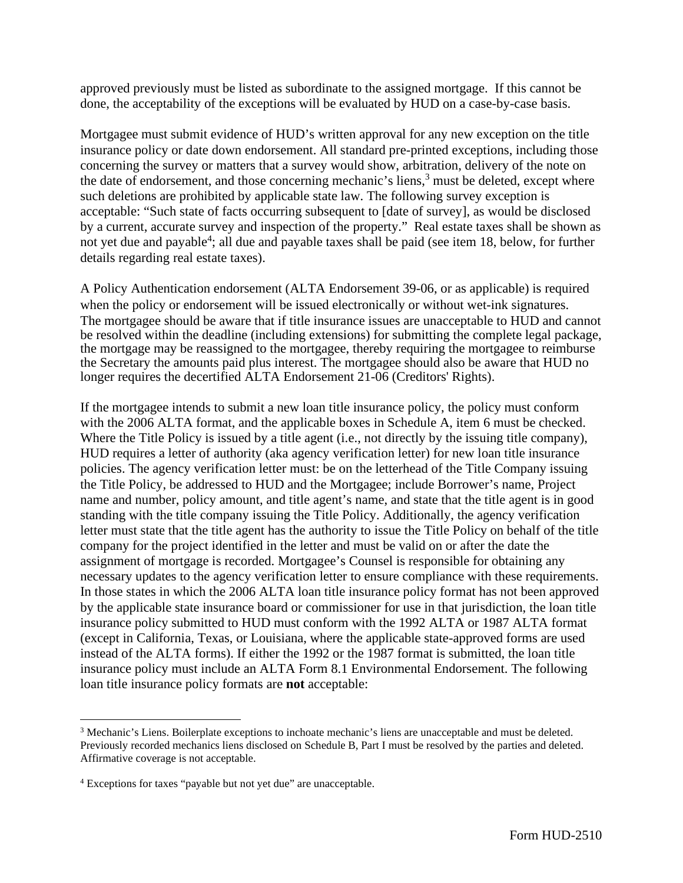approved previously must be listed as subordinate to the assigned mortgage. If this cannot be done, the acceptability of the exceptions will be evaluated by HUD on a case-by-case basis.

Mortgagee must submit evidence of HUD's written approval for any new exception on the title insurance policy or date down endorsement. All standard pre-printed exceptions, including those concerning the survey or matters that a survey would show, arbitration, delivery of the note on the date of endorsement, and those concerning mechanic's liens, $3$  must be deleted, except where such deletions are prohibited by applicable state law. The following survey exception is acceptable: "Such state of facts occurring subsequent to [date of survey], as would be disclosed by a current, accurate survey and inspection of the property." Real estate taxes shall be shown as not yet due and payable<sup>4</sup>; all due and payable taxes shall be paid (see item 18, below, for further details regarding real estate taxes).

A Policy Authentication endorsement (ALTA Endorsement 39-06, or as applicable) is required when the policy or endorsement will be issued electronically or without wet-ink signatures. The mortgagee should be aware that if title insurance issues are unacceptable to HUD and cannot be resolved within the deadline (including extensions) for submitting the complete legal package, the mortgage may be reassigned to the mortgagee, thereby requiring the mortgagee to reimburse the Secretary the amounts paid plus interest. The mortgagee should also be aware that HUD no longer requires the decertified ALTA Endorsement 21-06 (Creditors' Rights).

If the mortgagee intends to submit a new loan title insurance policy, the policy must conform with the 2006 ALTA format, and the applicable boxes in Schedule A, item 6 must be checked. Where the Title Policy is issued by a title agent (i.e., not directly by the issuing title company), HUD requires a letter of authority (aka agency verification letter) for new loan title insurance policies. The agency verification letter must: be on the letterhead of the Title Company issuing the Title Policy, be addressed to HUD and the Mortgagee; include Borrower's name, Project name and number, policy amount, and title agent's name, and state that the title agent is in good standing with the title company issuing the Title Policy. Additionally, the agency verification letter must state that the title agent has the authority to issue the Title Policy on behalf of the title company for the project identified in the letter and must be valid on or after the date the assignment of mortgage is recorded. Mortgagee's Counsel is responsible for obtaining any necessary updates to the agency verification letter to ensure compliance with these requirements. In those states in which the 2006 ALTA loan title insurance policy format has not been approved by the applicable state insurance board or commissioner for use in that jurisdiction, the loan title insurance policy submitted to HUD must conform with the 1992 ALTA or 1987 ALTA format (except in California, Texas, or Louisiana, where the applicable state-approved forms are used instead of the ALTA forms). If either the 1992 or the 1987 format is submitted, the loan title insurance policy must include an ALTA Form 8.1 Environmental Endorsement. The following loan title insurance policy formats are **not** acceptable:

<sup>&</sup>lt;sup>3</sup> Mechanic's Liens. Boilerplate exceptions to inchoate mechanic's liens are unacceptable and must be deleted. Previously recorded mechanics liens disclosed on Schedule B, Part I must be resolved by the parties and deleted. Affirmative coverage is not acceptable.

<sup>&</sup>lt;sup>4</sup> Exceptions for taxes "payable but not yet due" are unacceptable.